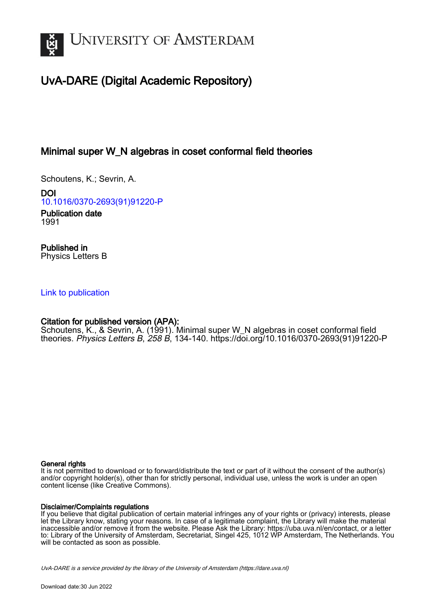

# UvA-DARE (Digital Academic Repository)

## Minimal super W\_N algebras in coset conformal field theories

Schoutens, K.; Sevrin, A.

DOI [10.1016/0370-2693\(91\)91220-P](https://doi.org/10.1016/0370-2693(91)91220-P)

Publication date 1991

Published in Physics Letters B

### [Link to publication](https://dare.uva.nl/personal/pure/en/publications/minimal-super-wn-algebras-in-coset-conformal-field-theories(9b93db38-10ed-40ce-94aa-3236d64ee387).html)

## Citation for published version (APA):

Schoutens, K., & Sevrin, A. (1991). Minimal super W\_N algebras in coset conformal field theories. Physics Letters B, 258 B, 134-140. [https://doi.org/10.1016/0370-2693\(91\)91220-P](https://doi.org/10.1016/0370-2693(91)91220-P)

### General rights

It is not permitted to download or to forward/distribute the text or part of it without the consent of the author(s) and/or copyright holder(s), other than for strictly personal, individual use, unless the work is under an open content license (like Creative Commons).

### Disclaimer/Complaints regulations

If you believe that digital publication of certain material infringes any of your rights or (privacy) interests, please let the Library know, stating your reasons. In case of a legitimate complaint, the Library will make the material inaccessible and/or remove it from the website. Please Ask the Library: https://uba.uva.nl/en/contact, or a letter to: Library of the University of Amsterdam, Secretariat, Singel 425, 1012 WP Amsterdam, The Netherlands. You will be contacted as soon as possible.

UvA-DARE is a service provided by the library of the University of Amsterdam (http*s*://dare.uva.nl)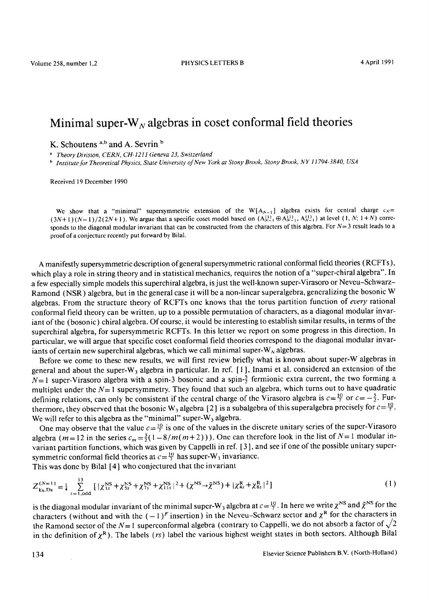## Minimal super- $W_N$  algebras in coset conformal field theories

**K. Schoutens <sup>a,b</sup> and A. Sevrin b** 

*Theory Division, CERN, CH-1211 Geneva 23, Switzerland* 

*h Institute for Theoretical Physics, State University of New York at Stony Brook, Stony Brook, NY 11794-3840, USA* 

Received 19 December 1990

We show that a "minimal" supersymmetric extension of the W[ $A_{N-1}$ ] algebra exists for central charge  $c_N =$  $(3N+1)(N-1)/2 (2N+1)$ . We argue that a specific coset model based on  $(A_{N-1}^{(1)} \oplus A_{N-1}^{(1)}, A_{N-1}^{(1)})$  at level  $(1, N; 1 + N)$  corresponds to the diagonal modular invariant that can be constructed from the characters of this algebra. For  $N=3$  result leads to a proof of a conjecture recently put forward by Bilal.

A manifestly supersymmetric dcscription of general supersymmetric rational conformal field theories (RCFTs), which play a role in string theory and in statistical mechanics, requires the notion of a "super-chiral algebra". In a few especially simple models this superchiral algebra, is just the well-known super-Virasoro or Neveu-Schwarz-Ramond (NSR) algebra, but in the general case it will be a non-linear superalgebra, generalizing the bosonic W algebras. From the structure theory of RCFTs onc knows that the torus partition function of *every* rational conformal field theory can be written, up to a possible permutation of characters, as a diagonal modular invariant of the (bosonic) chiral algebra. Of course, it would be interesting to establish similar results, in terms of the superchiral algebra, for supersymmetric RCFTs. In this letter we report on some progress in this direction. In particular, we will argue that specific coset conformal field theories correspond to the diagonal modular invariants of certain new superchiral algebras, which we call minimal super- $W_N$  algebras.

Before we come to these new results, we will first review briefly what is known about super-W algebras in general and about the super-W<sub>3</sub> algebra in particular. In ref. [1], Inami et al. considered an extension of the  $N=1$  super-Virasoro algebra with a spin-3 bosonic and a spin- $\frac{5}{2}$  fermionic extra current, the two forming a multiplet under the  $N=1$  supersymmetry. They found that such an algebra, which turns out to have quadratic defining relations, can only be consistent if the central charge of the Virasoro algebra is  $c = \frac{10}{7}$  or  $c = -\frac{5}{2}$ . Furthermore, they observed that the bosonic W<sub>3</sub> algebra [2] is a subalgebra of this superalgebra precisely for  $c = \frac{10}{7}$ . We will refer to this algebra as the "minimal" super- $W_3$  algebra.

One may observe that the value  $c=\frac{10}{7}$  is one of the values in the discrete unitary series of the super-Virasoro algebra ( $m=12$  in the series  $c_m = \frac{3}{2}(1-8/m(m+2))$ ). One can therefore look in the list of  $N=1$  modular invariant partition functions, which was given by Cappelli in ref. [ 3 ], and see if one of the possible unitary supersymmetric conformal field theories at  $c = \frac{10}{7}$  has super-W<sub>3</sub> invariance.

This was done by Bilal [4] who conjectured that the invariant

$$
Z_{E_6, D_8}^{(N=1)} = \frac{1}{4} \sum_{s=1, \text{odd}}^{13} \left[ |\chi_{1s}^{NS} + \chi_{5s}^{NS} + \chi_{7s}^{NS} + \chi_{11s}^{NS} |^2 + (\chi_{1s}^{NS} + \tilde{\chi}_{1s}^{NS}) + |\chi_{4s}^R + \chi_{8s}^R |^2 \right] \tag{1}
$$

is the diagonal modular invariant of the minimal super-W<sub>3</sub> algebra at  $c = \frac{10}{7}$ . In here we write  $\chi^{NS}$  and  $\tilde{\chi}^{NS}$  for the characters (without and with the  $(-1)^F$  insertion) in the Neveu-Schwarz sector and  $\chi^R$  for the characters in the Ramond sector of the N= 1 superconformal algebra (contrary to Cappelli, we do not absorb a factor of  $\sqrt{2}$ in the definition of  $\chi^R$ ). The labels (rs) label the various highest weight states in both sectors. Although Bilal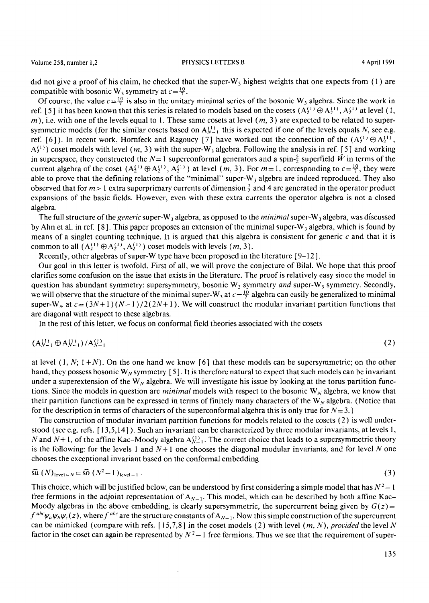did not give a proof of his claim, he checked that the super-W<sub>3</sub> highest weights that one expects from (1) are compatible with bosonic W<sub>3</sub> symmetry at  $c=\frac{10}{7}$ .

Of course, the value  $c = \frac{10}{7}$  is also in the unitary minimal series of the bosonic W<sub>3</sub> algebra. Since the work in ref. [5] it has been known that this series is related to models based on the cosets  $(A_2^{(1)} \oplus A_2^{(1)}, A_3^{(1)}$  at level (1, m), i.e. with one of the levels equal to 1. These same cosets at level  $(m, 3)$  are expected to be related to supersymmetric models (for the similar cosets based on  $A_{N-1}^{(1)}$  this is expected if one of the lcvels equals N, see e.g. ref. [6]). In recent work, Hornfeck and Ragoucy [7] have worked out the connection of the  $(A_2^{(1)} \oplus A_2^{(1)}$ ,  $A_2^{(1)}$ ) coset models with level (*m*, 3) with the super-W<sub>3</sub> algebra. Following the analysis in ref. [5] and working in superspace, they constructed the  $N=1$  superconformal generators and a spin- $\frac{5}{5}$  superfield  $\hat{W}$  in terms of the current algebra of the coset  $(A_2^{(1)} \oplus A_2^{(1)}, A_2^{(1)})$  at level  $(m, 3)$ . For  $m = 1$ , corresponding to  $c = \frac{10}{7}$ , they were able to prove that the defining relations of the "minimal" super-W<sub>3</sub> algebra are indeed reproduced. They also observed that for  $m > 1$  extra superprimary currents of dimension  $\frac{7}{2}$  and 4 arc generated in the operator product expansions of the basic fields. However, evcn with these extra currents the operator algebra is not a closed algebra.

The full structure of the *generic* super-W<sub>3</sub> algebra, as opposed to the *minimal* super-W<sub>3</sub> algebra, was discussed by Ahn et al. in ref. [8]. This paper proposes an extension of the minimal super-W, algebra, which is found by means of a singlet counting technique. It is argued that this algebra is consistent for generic  $c$  and that it is common to all  $(A_2^{(1)} \oplus A_2^{(1)}, A_2^{(1)})$  coset models with levels  $(m, 3)$ .

Recently, other algebras of super-W type have been proposed in the literature [9-12].

Our goal in this letter is twofold. First of all, we will prove the conjecture of Bilal. Wc hope that this proof clarifies some confusion on the issue that exists in the literature. The proof is relatively easy since the model in question has abundant symmetry: supersymmetry, bosonic W<sub>3</sub> symmetry *and* super-W<sub>3</sub> symmetry. Secondly, we will observe that the structure of the minimal super-W<sub>3</sub> at  $c = \frac{10}{7}$  algebra can easily be generalized to minimal super-W<sub>N</sub> at  $c = (3N+1)(N-1)/2(2N+1)$ . We will construct the modular invariant partition functions that are diagonal with respect to these algebras.

In the rest of this letter, we focus on conformal field theories associated with the cosets

$$
(\mathbf{A}_{N-1}^{(1)} \oplus \mathbf{A}_{N-1}^{(1)}) / \mathbf{A}_{N-1}^{(1)}
$$
(2)

at level  $(1, N; 1 + N)$ . On the one hand we know [6] that these models can be supersymmetric; on the other hand, they possess bosonic W<sub>N</sub> symmetry [5]. It is therefore natural to expect that such models can be invariant under a superextension of the W<sub>N</sub> algebra. We will investigate his issue by looking at the torus partition functions. Since the models in question are *minimal* models with respect to the bosonic  $W_N$  algebra, we know that their partition functions can be expressed in terms of finitely many characters of the  $W_N$  algebra. (Notice that for the description in terms of characters of the superconformal algebra this is only true for  $N=3$ .)

The construction of modular invariant partition functions for models related to the coscts (2) is well understood (sec e.g. refs. [ 13,5,14] ). Such an invariant can be characterized by three modular invariants, at levels 1, N and N+1, of the affine Kac–Moody algebra  $A_{N-1}^{(1)}$ . The correct choice that leads to a supersymmetric theory is the following: for the levels 1 and  $N+1$  one chooses the diagonal modular invariants, and for level N one chooses the exceptional invariant based on the conformal embedding

$$
\overline{\text{su}}(N)_{\text{level}=N} \subset \overline{\text{SO}}(N^2-1)_{\text{level}=1} \tag{3}
$$

This choice, which will be justified below, can be understood by first considering a simple model that has  $N^2-1$ free fermions in the adjoint representation of  $A_{N-1}$ . This model, which can be described by both affine Kac-Moody algebras in the above embedding, is clearly supersymmetric, the supercurrent being given by  $G(z)$  =  $f^{abc}\psi_a\psi_b\psi_c(z)$ , where  $f^{abc}$  are the structure constants of  $A_{N-1}$ . Now this simple construction of the supercurrent can be mimicked (compare with refs. [ 15,7,8] in the coset models (2) with lcvel *(m, N), provided the* level N factor in the coset can again be represented by  $N^2-1$  free fermions. Thus we see that the requirement of super-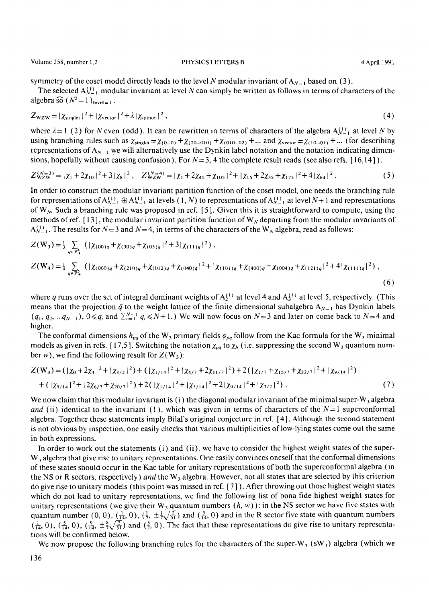symmetry of the coset model directly leads to the level N modular invariant of  $A_{N-1}$  based on (3).

The selected  $A_{N-1}^{(1)}$  modular invariant at level N can simply be written as follows in terms of characters of the algebra  $\widehat{so}$   $(N^2-1)_{\text{level}=1}$ .

$$
Z_{\text{wZW}} = |\chi_{\text{singlet}}|^2 + |\chi_{\text{vector}}|^2 + \lambda |\chi_{\text{spinor}}|^2,
$$
\n(4)

where  $\lambda = 1$  (2) for N cven (odd). It can be rewritten in terms of characters of the algebra  $A_{N-1}^{(1)}$  at level N by using branching rules such as  $\chi_{singlet} = \chi_{(0...0)} + \chi_{(20...010)} + \chi_{(010...02)} + ...$  and  $\chi_{vector} = \chi_{(10...01)} + ...$  (for describing representations of  $A_{N-1}$  we will alternatively use the Dynkin label notation and the notation indicating dimensions, hopefully without causing confusion). For  $N = 3$ , 4 the complete result reads (see also refs. [16,14]).

$$
Z_{WZW}^{(N=3)} = |\chi_1 + 2\chi_{10}|^2 + 3|\chi_8|^2, \quad Z_{WZW}^{(N=4)} = |\chi_1 + 2\chi_{45} + \chi_{105}|^2 + |\chi_{15} + 2\chi_{35} + \chi_{175}|^2 + 4|\chi_{64}|^2. \tag{5}
$$

In order to construct the modular invariant partition function of the coset model, one needs the branching rule for representations of  $A_{N-1}^{(1)} \oplus A_{N-1}^{(1)}$  at levels  $(1, N)$  to representations of  $A_{N-1}^{(1)}$  at level  $N+1$  and representations of  $W_N$ . Such a branching rule was proposed in ref. [5]. Given this it is straightforward to compute, using the methods of ref. [13], the modular invariant partition function of  $W_N$  departing from the modular invariants of  $A_{N-1}^{(1)}$ . The results for  $N=3$  and  $N=4$ , in terms of the characters of the W<sub>N</sub> algebra, read as follows:

$$
Z(\mathbf{W}_{3}) = \frac{1}{3} \sum_{q \in \mathbf{P}_{+}^{4}} \left( |\chi_{(00)q} + \chi_{(30)q} + \chi_{(03)q}|^{2} + 3|\chi_{(11)q}|^{2} \right),
$$
  
\n
$$
Z(\mathbf{W}_{4}) = \frac{1}{4} \sum_{q \in \mathbf{P}_{+}^{4}} \left( |\chi_{(000)q} + \chi_{(210)q} + \chi_{(012)q} + \chi_{(040)q}|^{2} + |\chi_{(101)q} + \chi_{(400)q} + \chi_{(004)q} + \chi_{(121)q}|^{2} + 4|\chi_{(11)q}|^{2} \right),
$$
\n(6)

where q runs over the set of integral dominant weights of  $A_3^{(1)}$  at level 4 and  $A_3^{(1)}$  at level 5, respectively. (This means that the projection  $\bar{q}$  to the weight lattice of the finite dimensional subalgebra  $A_{N-1}$  has Dynkin labels  $(q_1, q_2, ... q_{N-1}), 0 \leq q_i$  and  $\sum_{i=1}^{N-1} q_i \leq N+1$ .) We will now focus on  $N=3$  and later on come back to  $N=4$  and higher.

The conformal dimensions  $h_{pq}$  of the W<sub>3</sub> primary fields  $\phi_{pq}$  follow from the Kac formula for the W<sub>3</sub> minimal models as given in refs. [17,5]. Switching the notation  $\chi_{pq}$  to  $\chi_h$  (i.e. suppressing the second W<sub>3</sub> quantum number w), we find the following result for  $Z(W_3)$ :

$$
Z(W_3) = (|\chi_0 + 2\chi_4|^2 + |\chi_{3/2}|^2) + (|\chi_{1/14}|^2 + |\chi_{4/7} + 2\chi_{11/7}|^2) + 2(|\chi_{1/7} + \chi_{15/7} + \chi_{22/7}|^2 + |\chi_{9/14}|^2) + (|\chi_{5/14}|^2 + |2\chi_{6/7} + \chi_{20/7}|^2) + 2(|\chi_{1/14}|^2 + |\chi_{5/14}|^2 + 2|\chi_{9/14}|^2 + |\chi_{3/2}|^2).
$$
\n(7)

We now claim that this modular invariant is (i) the diagonal modular invariant of the minimal super- $W_3$  algebra *and (ii) identical to the invariant (1), which was given in terms of characters of the*  $N=1$  *superconformal* algebra. Together these statements imply Bilal's original conjecture in rcf. [4]. Although the second statement is not obvious by inspection, one easily checks that various multiplicitics of low-lying states come out the same in both expressions.

In order to work out the statements (i) and (ii), we have to consider the highest weight states of thc super-W<sub>3</sub> algebra that give rise to unitary representations. One easily convinces oneself that the conformal dimensions of these states should occur in the Kac table for unitary representations of both the superconformal algebra (in the NS or R sectors, respectively) *and* the W<sub>3</sub> algebra. However, not all states that are selected by this criterion do give rise to unitary models (this point was missed in ref. [7]). After throwing out those highest weight states which do not lead to unitary representations, we find the following list of bona fide highest weight states for unitary representations (we give their W<sub>3</sub> quantum numbers  $(h, w)$ ): in the NS sector we have five states with quantum number (0, 0),  $(\frac{1}{14}, 0)$ ,  $(\frac{1}{7}, \pm \frac{1}{7}\sqrt{\frac{2}{31}})$  and  $(\frac{5}{14}, 0)$  and in the R sector five state with quantum numbers  $(\frac{1}{14}, 0)$ ,  $(\frac{5}{14}, 0)$ ,  $(\frac{9}{14}, \pm \frac{8}{7}\sqrt{\frac{2}{51}})$  and  $(\frac{3}{2}, 0)$ . The fact that these representations do give rise to unitary representations will be confirmed below.

We now propose the following branching rules for the characters of the super-W<sub>3</sub> (sW<sub>3</sub>) algebra (which we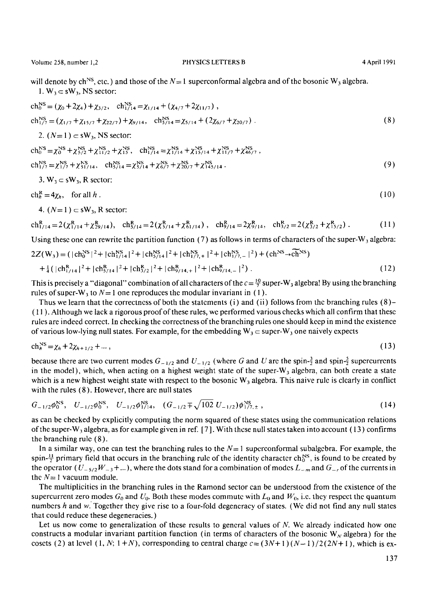will denote by ch<sup>NS</sup>, etc.) and those of the  $N=1$  superconformal algebra and of the bosonic W<sub>3</sub> algebra. 1.  $W_3 \subset sW_3$ , NS sector:

$$
\text{ch}_{0}^{\text{NS}} = (\chi_{0} + 2\chi_{4}) + \chi_{3/2}, \quad \text{ch}_{1/14}^{\text{NS}} = \chi_{1/14} + (\chi_{4/7} + 2\chi_{11/7}),
$$
\n
$$
\text{ch}_{1/7}^{\text{NS}} = (\chi_{1/7} + \chi_{15/7} + \chi_{22/7}) + \chi_{9/14}, \quad \text{ch}_{5/14}^{\text{NS}} = \chi_{5/14} + (2\chi_{6/7} + \chi_{20/7}).
$$
\n(8)

2.  $(N=1) \subset \text{sW}_3$ , NS sector:

$$
\text{ch}_{0}^{\text{NS}} = \chi_{0}^{\text{NS}} + \chi_{5/2}^{\text{NS}} + \chi_{11/2}^{\text{NS}} + \chi_{15}^{\text{NS}}, \quad \text{ch}_{1/14}^{\text{NS}} = \chi_{1/14}^{\text{NS}} + \chi_{15/14}^{\text{NS}} + \chi_{11/7}^{\text{NS}} + \chi_{46/7}^{\text{NS}},
$$
\n
$$
\text{ch}_{1/7}^{\text{NS}} = \chi_{1/7}^{\text{NS}} + \chi_{51/14}^{\text{NS}}, \quad \text{ch}_{5/14}^{\text{NS}} = \chi_{5/14}^{\text{NS}} + \chi_{6/7}^{\text{NS}} + \chi_{20/7}^{\text{NS}} + \chi_{145/14}^{\text{NS}}.
$$
\n(9)

3. 
$$
W_3 \subset sW_3
$$
, R sector:

 $ch_b^R = 4\chi_b$ , for all h. (10)

4.  $(N=1) \subset sW_3$ , R sector:

$$
\mathrm{ch}_{1/14}^R = 2(\chi_{1/14}^R + \chi_{29/14}^R), \quad \mathrm{ch}_{5/14}^R = 2(\chi_{5/14}^R + \chi_{61/14}^R), \quad \mathrm{ch}_{9/14}^R = 2\chi_{9/14}^R, \quad \mathrm{ch}_{3/2}^R = 2(\chi_{3/2}^R + \chi_{15/2}^R). \tag{11}
$$

Using these one can rewrite the partition function (7) as follows in terms of characters of the super-W<sub>3</sub> algebra:  $2Z(W_3) = (|\text{ch}_0^{\text{NS}}|^2 + |\text{ch}_{1/14}^{\text{NS}}|^2 + |\text{ch}_{2/14}^{\text{NS}}|^2 + |\text{ch}_{1/2+}^{\text{NS}}|^2 + |\text{ch}_{1/2-}^{\text{NS}}|^2) + (\text{ch}^{\text{NS}} \rightarrow \tilde{\text{ch}}^{\text{NS}})$  $+\frac{1}{4}(|ch_{1/14}^R|^2+|ch_{3/14}^R|^2+|ch_{3/2}^R|^2+|ch_{9/14,+}^R|^2+|ch_{9/14,-}^R|^2).$  (12)

This is precisely a "diagonal" combination of all characters of the  $c = \frac{10}{2}$  super-W<sub>3</sub> algebra! By using the branching rules of super-W<sub>3</sub> to  $N=1$  one reproduces the modular invariant in (1).

Thus we learn that the correctness of both the statements (i) and (ii) follows from the branching rules (8)-( 1 1 ). Although we lack a rigorous proof of these rules, we performed various checks which all confirm that these rules are indeed correct. In checking the correctness of the branching rules one should keep in mind the existence of various low-lying null states. For example, for the embedding  $W_3 \subset super-W_3$  one naively expects

$$
ch_n^{NS} = \chi_h + 2\chi_{h+1/2} + \dots, \tag{13}
$$

because there arc two current modes  $G_{-1/2}$  and  $U_{-1/2}$  (where G and U arc the spin- $\frac{3}{2}$  and spin- $\frac{5}{2}$  supercurrents in the model), which, when acting on a highest weight state of the super- $W_3$  algebra, can both create a state which is a new highest weight state with respect to the bosonic  $W_3$  algebra. This naive rule is clearly in conflict with the rules (8). However, there are null states

$$
G_{-1/2}\phi_0^{\text{NS}}, \quad U_{-1/2}\phi_0^{\text{NS}}, \quad U_{-1/2}\phi_{1/14}^{\text{NS}}, \quad (G_{-1/2} \mp \sqrt{102} \ U_{-1/2})\phi_{1/7,\pm}^{\text{NS}}, \tag{14}
$$

as can be checked by explicitly computing the norm squared of these states using the communication relations of the super-W<sub>3</sub> algebra, as for example given in ref. [7]. With these null states taken into account (13) confirms the branching rule (8).

In a similar way, one can test the branching rules to the  $N=1$  superconformal subalgebra. For example, the spin- $\frac{11}{2}$  primary field that occurs in the branching rule of the identity character ch<sub>0</sub><sup>S</sup>, is found to be created by the operator ( $U_{-5/2}W_{-3}$ +...), where the dots stand for a combination of modes  $L_{-m}$  and  $G_{-r}$  of the currents in the  $N=1$  vacuum module.

The multiplicities in the branching rules in the Ramond sector can be understood from the existence of the supercurrent zero modes  $G_0$  and  $U_0$ . Both these modes commute with  $L_0$  and  $W_0$ , i.e. they respect the quantum numbers h and w. Together they give rise to a four-fold degeneracy of states. (We did not find any null states that could reduce these degeneracies.)

Let us now come to generalization of these results to general values of  $N$ . We already indicated how one constructs a modular invariant partition function (in terms of characters of the bosonic  $W<sub>N</sub>$  algebra) for the cosets (2) at level  $(1, N; 1+N)$ , corresponding to central charge  $c = (3N+1)(N-1)/2(2N+1)$ , which is ex-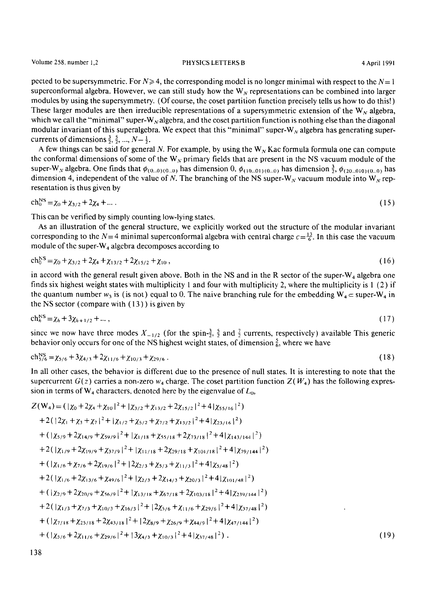pccted to be supersymmetric. For  $N \ge 4$ , the corresponding model is no longer minimal with respect to the  $N=1$ superconformal algebra. However, we can still study how the  $W_N$  representations can be combined into larger modules by using the supersymmetry. (Of course, the coset partition function precisely tells us how to do this!) These larger modules are then irreducible representations of a supersymmetric extension of the  $W_N$  algebra, which we call the "minimal" super-W<sub>N</sub> algebra, and the coset partition function is nothing else than the diagonal modular invariant of this superalgebra. We expect that this "minimal" super-W<sub>N</sub> algebra has generating supercurrents of dimensions  $\frac{3}{2}$ ,  $\frac{5}{2}$ , ...,  $N-\frac{1}{2}$ .

A few things can be said for general N. For example, by using the  $W_N$  Kac formula formula one can compute the conformal dimensions of some of the  $W_N$  primary fields that are present in the NS vacuum module of the super-W<sub>N</sub> algebra. One finds that  $\phi_{(0...0)(0...0)}$  has dimension 0,  $\phi_{(10...01)(0...0)}$  has dimension  $\frac{3}{2}$ ,  $\phi_{(20...010)(0...0)}$  has dimension 4, independent of the value of N. The branching of the NS super-W<sub>N</sub> vacuum module into W<sub>N</sub> representation is thus given by

$$
ch_0^{NS} = \chi_0 + \chi_{3/2} + 2\chi_4 + \dots \tag{15}
$$

This can be verified by simply counting low-lying states.

As an illustration of the general structure, we explicitly worked out the structure of the modular invariant corresponding to the N=4 minimal superconformal algebra with central charge  $c=\frac{13}{6}$ . In this case the vacuum module of the super- $W_4$  algebra decomposes according to

$$
ch_0^{bs} = \chi_0 + \chi_{3/2} + 2\chi_4 + \chi_{13/2} + 2\chi_{15/2} + \chi_{10}, \tag{16}
$$

in accord with the general result given above. Both in the NS and in the R sector of the super- $W_4$  algebra one finds six highest weight states with multiplicity 1 and four with multiplicity 2, where the multiplicity is 1 (2) if the quantum number  $w_3$  is (is not) equal to 0. The naive branching rule for the embedding  $W_4$  = super-W<sub>4</sub> in the NS sector (compare with (13) ) is given by

$$
ch_h^{NS} = \chi_h + 3\chi_{h+1/2} + \dots, \tag{17}
$$

since we now have three modes  $X_{-1/2}$  (for the spin- $\frac{3}{2}$ ,  $\frac{5}{2}$  and  $\frac{7}{2}$  currents, respectively) available This generic behavior only occurs for one of the NS highest weight states, of dimension  $\frac{5}{6}$ , where we have

$$
\text{ch}_{5/6}^{\text{NS}} = \chi_{5/6} + 3\chi_{4/3} + 2\chi_{11/6} + \chi_{10/3} + \chi_{29/6} \,. \tag{18}
$$

In all other cases, the behavior is diffcrent due to the presence of null states. It is interesting to note that the supercurrent  $G(z)$  carries a non-zero  $w_4$  charge. The coset partition function  $Z(W_4)$  has the following expression in terms of  $W_4$  characters, denoted here by the eigenvalue of  $L_0$ ,

$$
Z(W_4) = (|\chi_0 + 2\chi_4 + \chi_{10}|^2 + |\chi_{3/2} + \chi_{13/2} + 2\chi_{15/2}|^2 + 4|\chi_{55/16}|^2)
$$
  
+2(|2\chi\_1 + \chi\_3 + \chi\_7|^2 + |\chi\_{1/2} + \chi\_{5/2} + \chi\_{7/2} + \chi\_{13/2}|^2 + 4|\chi\_{23/16}|^2)  
+ (|\chi\_{5/9} + 2\chi\_{14/9} + \chi\_{59/9}|^2 + |\chi\_{1/18} + \chi\_{55/18} + 2\chi\_{73/18}|^2 + 4|\chi\_{143/144}|^2)  
+2(|\chi\_{1/9} + 2\chi\_{19/9} + \chi\_{37/9}|^2 + |\chi\_{11/18} + 2\chi\_{29/18} + \chi\_{101/18}|^2 + 4|\chi\_{79/144}|^2)  
+ (|\chi\_{1/6} + \chi\_{7/6} + 2\chi\_{19/6}|^2 + |2\chi\_{2/3} + \chi\_{5/3} + \chi\_{11/3}|^2 + 4|\chi\_{5/48}|^2)  
+2(|\chi\_{1/6} + 2\chi\_{13/6} + \chi\_{49/6}|^2 + |\chi\_{2/3} + 2\chi\_{14/3} + \chi\_{20/3}|^2 + 4|\chi\_{101/48}|^2)  
+ (|\chi\_{2/9} + 2\chi\_{20/9} + \chi\_{56/9}|^2 + |\chi\_{13/18} + \chi\_{67/18} + 2\chi\_{103/18}|^2 + 4|\chi\_{239/144}|^2)  
+2(|\chi\_{1/3} + \chi\_{7/3} + \chi\_{10/3} + \chi\_{16/3}|^2 + |2\chi\_{5/6} + \chi\_{11/6} + \chi\_{29/6}|^2 + 4|\chi\_{37/48}|^2)  
+ (|\chi\_{7/18} + \chi\_{25/18} + 2\chi\_{43/18}|^2 + |2\chi\_{8/9} + \chi\_{26/9} + \chi\_{44/9}|^2 + 4|\chi\_{47/144}|^2)  
+ (|\chi\_{5/6} + 2\chi\_{11/6} + \chi\_{29/6}|^2 + |3\chi\_{4/3} + \chi\_{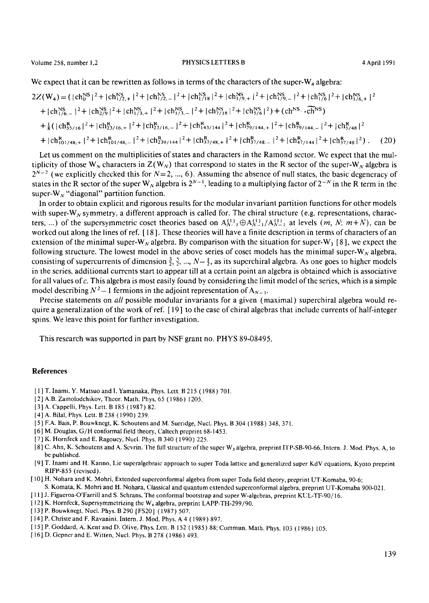We expect that it can be rewritten as follows in terms of the characters of the super- $W_4$  algebra:

$$
2Z(\mathbf{W}_{4}) = (|\mathbf{ch}_{0}^{NS}|^{2} + |\mathbf{ch}_{1/2,+}^{NS}|^{2} + |\mathbf{ch}_{1/2,-}^{NS}|^{2} + |\mathbf{ch}_{1/18}^{NS}|^{2} + |\mathbf{ch}_{1/9,+}^{NS}|^{2} + |\mathbf{ch}_{1/9,-}^{NS}|^{2} + |\mathbf{ch}_{1/6,+}^{NS}|^{2} + |\mathbf{ch}_{1/6,+}^{NS}|^{2}
$$
  
+  $|\mathbf{ch}_{1/6,-}^{NS}|^{2} + |\mathbf{ch}_{2/9}^{NS}|^{2} + |\mathbf{ch}_{1/3,+}^{NS}|^{2} + |\mathbf{ch}_{1/3,-}^{NS}|^{2} + |\mathbf{ch}_{2/18}^{NS}|^{2} + |\mathbf{ch}_{3/6}^{NS}|^{2}) + (\mathbf{ch}_{3,-}^{NS} \cdot \widetilde{\mathbf{ch}}^{NS})$   
+  $\frac{1}{8} (|\mathbf{ch}_{55/16}^{R}|^{2} + |\mathbf{ch}_{23/16,+}^{R}|^{2} + |\mathbf{ch}_{23/16,-}^{R}|^{2} + |\mathbf{ch}_{143/144}^{R}|^{2} + |\mathbf{ch}_{7/144,+}^{R}|^{2} + |\mathbf{ch}_{7/144,-}^{R}|^{2} + |\mathbf{ch}_{5/48}^{R}|^{2}$   
+  $|\mathbf{ch}_{101/48,+}^{R}|^{2} + |\mathbf{ch}_{101/48,-}^{R}|^{2} + |\mathbf{ch}_{239/144}^{R}|^{2} + |\mathbf{ch}_{37/48,+}^{R}|^{2} + |\mathbf{ch}_{37/48,-}^{R}|^{2} + |\mathbf{ch}_{47/144}^{R}|^{2} + |\mathbf{ch}_{37/48,+}^{R}|^{2}).$  (20)

Let us comment on the multiplicities of states and characters in the Ramond sector. We expect that the multiplicity of those W<sub>N</sub> characters in  $Z(W_N)$  that correspond to states in the R sector of the super-W<sub>N</sub> algebra is  $2^{N-2}$  (we explicitly checked this for  $N=2, ..., 6$ ). Assuming the absence of null states, the basic degeneracy of states in the R sector of the super W<sub>N</sub> algebra is  $2^{N-1}$ , leading to a multiplying factor of  $2^{-N}$  in the R term in the super-W<sub>N</sub> "diagonal" partition function.

In order to obtain explicit and rigorous results for the modular invariant partition functions for other models with super-W<sub>N</sub> symmetry, a different approach is called for. The chiral structure (e.g. representations, characters, ...) of the supersymmetric coset theories based on  $A_{N-1}^{(1)} \oplus A_{N-1}^{(1)} / A_{N-1}^{(1)}$  at levels  $(m, N; m+N)$ , can be workcd out along the lines of ref. [ 18 ]. These theories will have a finite description in terms of characters of an extension of the minimal super-W<sub>N</sub> algebra. By comparison with the situation for super-W<sub>3</sub> [8], we expect the following structure. The lowest model in the above series of coset models has the minimal super-W<sub>N</sub> algebra, consisting of supercurrents of dimension  $\frac{3}{2}$ ,  $\frac{5}{2}$ , ...,  $N-\frac{1}{2}$ , as its superchiral algebra. As one goes to higher models in the series, additional currents start to appear till at a certain point an algebra is obtained which is associative for all values of  $c$ . This algebra is most easily found by considering the limit model of the series, which is a simple model describing  $N^2 - 1$  fermions in the adjoint representation of  $A_{N-1}$ .

Precise statements on all possible modular invariants for a given (maximal) superchiral algebra would require a generalization of the work of ret: [ 19 ] to the case ofchiral algcbras that include currents of half-intcger spins. We leave this point for further investigation.

This research was supported in part by NSF grant no. PHYS 89-08495.

#### **References**

- [ 1 ] T. Inami, Y. Matsuo and I. Yamanaka, Phys. Lctt. B 215 (1988) 701.
- [2] A.B. Zamolodchikov, Theor. Math. Phys. 65 (1986) 1205.
- [ 31 A. Cappelli, Phys. Lctt. B 185 (1987) 82.
- [4] A. Bilal, Phys. Lett. B 238 (1990) 239.
- [ 5 ] F.A. Bais, P. Bouwkncgt, K. Schoutens and M. Surridge, Nucl. Phys. B 304 (1988) 348, 371.
- [6] M. Douglas, G/H conformal field theory, Caltech preprint 68-1453.
- [ 7 ] K. Hornfeck and E. Ragoucy, Nucl. Phys. B 340 (1990) 225.
- [8] C. Ahn, K. Schoutens and A. Scvrin, The full structure of the super W3 algebra, preprint ITP-SB-90-66, Intern. J. Mod. Phys. A, to be published.
- [9 ] T. Inami and H. Kanno, Lie supcralgebraic approach to super Toda lattice and generalized super KdV equations, Kyoto preprint RIFP-855 (revised).
- [ 10 ] H. Nohara and K. Mohri, Extended supcrconformal algebra from super Toda field theory., preprint UT-Komaba, 90-6; S. Komata, K. Mohri and H. Nohara, Classical and quantum extended superconformal algebra, preprint UT-Komaba 900-02 I.
- [ 1 I ] J. Figueroa-O'Farrill and S. Schrans, The conformal bootstrap and super W-algcbras, preprint KUL-TF-90/16.
- [12] K. Hornfeck, Supersymmetrizing the W<sub>4</sub> algebra, preprint LAPP-TH-299/90.
- [13] P. Bouwknegt, Nucl. Phys. B 290 [FS20] (1987) 507.
- [ 14] P. Christe and F. Ravanini, Intern. J. Mod. Phys. A 4 (1989) 897.
- [ 15] P. Goddard, A. Kent and D. Olive, Phys. Left. B 152 (1985) 88; Commun. Math. Phys. 103 (1986) 105.
- [16] D. Gepner and E. Witten, Nucl. Phys. B 278 (1986) 493.